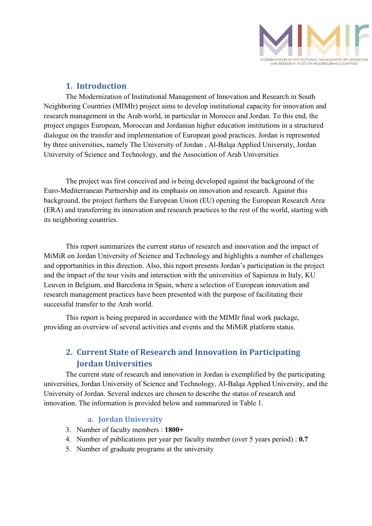

# 1. Introduction

The Modernization of Institutional Management of Innovation and Research in South Neighboring Countries (MIMIr) project aims to develop institutional capacity for innovation and research management in the Arab world, in particular in Morocco and Jordan. To this end, the project engages European, Moroccan and Jordanian higher education institutions in a structured dialogue on the transfer and implementation of European good practices. Jordan is represented by three universities, namely The University of Jordan , Al-Balqa Applied University, Jordan University of Science and Technology, and the Association of Arab Universities

The project was first conceived and is being developed against the background of the Euro-Mediterranean Partnership and its emphasis on innovation and research. Against this background, the project furthers the European Union (EU) opening the European Research Area (ERA) and transferring its innovation and research practices to the rest of the world, starting with its neighboring countries.

This report summarizes the current status of research and innovation and the impact of MiMiR on Jordan University of Science and Technology and highlights a number of challenges and opportunities in this direction. Also, this report presents Jordan's participation in the project and the impact of the tour visits and interaction with the universities of Sapienza in Italy, KU Leuven in Belgium, and Barcelona in Spain, where a selection of European innovation and research management practices have been presented with the purpose of facilitating their successful transfer to the Arab world.

This report is being prepared in accordance with the MIMIr final work package, providing an overview of several activities and events and the MiMiR platform status.

# 2. Current State of Research and Innovation in Participating Jordan Universities

The current state of research and innovation in Jordan is exemplified by the participating universities, Jordan University of Science and Technology, Al-Balqa Applied University, and the University of Jordan. Several indexes are chosen to describe the status of research and innovation. The information is provided below and summarized in Table 1.

#### a. Jordan University

- 3. Number of faculty members : 1800+
- 4. Number of publications per year per faculty member (over 5 years period) : 0.7
- 5. Number of graduate programs at the university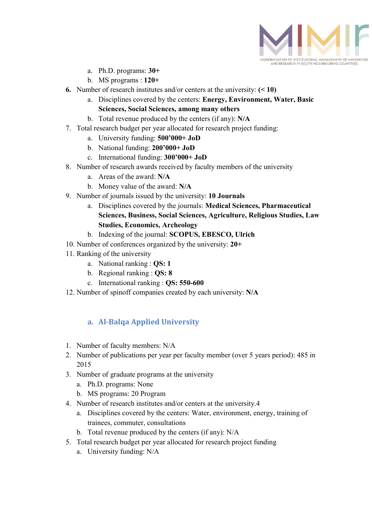

- a. Ph.D. programs: 30+
- b. MS programs : 120+
- 6. Number of research institutes and/or centers at the university:  $($  < 10)
	- a. Disciplines covered by the centers: Energy, Environment, Water, Basic Sciences, Social Sciences, among many others
	- b. Total revenue produced by the centers (if any): N/A
- 7. Total research budget per year allocated for research project funding:
	- a. University funding: 500'000+ JoD
	- b. National funding: 200'000+ JoD
	- c. International funding: 300'000+ JoD
- 8. Number of research awards received by faculty members of the university
	- a. Areas of the award: N/A
	- b. Money value of the award: N/A
- 9. Number of journals issued by the university: 10 Journals
	- a. Disciplines covered by the journals: Medical Sciences, Pharmaceutical Sciences, Business, Social Sciences, Agriculture, Religious Studies, Law Studies, Economics, Archeology
	- b. Indexing of the journal: SCOPUS, EBESCO, Ulrich
- 10. Number of conferences organized by the university: 20+
- 11. Ranking of the university
	- a. National ranking : QS: 1
	- b. Regional ranking : QS: 8
	- c. International ranking : QS: 550-600
- 12. Number of spinoff companies created by each university: N/A

# a. Al-Balqa Applied University

- 1. Number of faculty members: N/A
- 2. Number of publications per year per faculty member (over 5 years period): 485 in 2015
- 3. Number of graduate programs at the university
	- a. Ph.D. programs: None
	- b. MS programs: 20 Program
- 4. Number of research institutes and/or centers at the university.4
	- a. Disciplines covered by the centers: Water, environment, energy, training of trainees, commuter, consultations
	- b. Total revenue produced by the centers (if any): N/A
- 5. Total research budget per year allocated for research project funding
	- a. University funding: N/A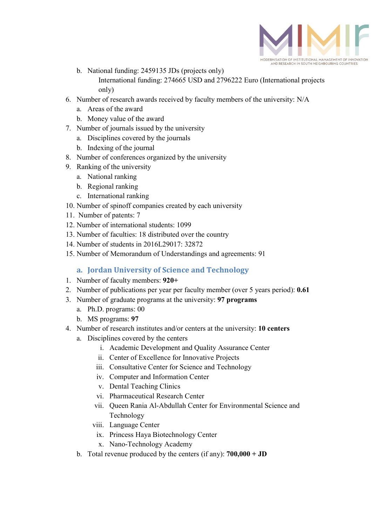

- b. National funding: 2459135 JDs (projects only) International funding: 274665 USD and 2796222 Euro (International projects only)
- 6. Number of research awards received by faculty members of the university: N/A
	- a. Areas of the award
	- b. Money value of the award
- 7. Number of journals issued by the university
	- a. Disciplines covered by the journals
	- b. Indexing of the journal
- 8. Number of conferences organized by the university
- 9. Ranking of the university
	- a. National ranking
	- b. Regional ranking
	- c. International ranking
- 10. Number of spinoff companies created by each university
- 11. Number of patents: 7
- 12. Number of international students: 1099
- 13. Number of faculties: 18 distributed over the country
- 14. Number of students in 2016L29017: 32872
- 15. Number of Memorandum of Understandings and agreements: 91

#### a. Jordan University of Science and Technology

- 1. Number of faculty members: 920+
- 2. Number of publications per year per faculty member (over 5 years period): 0.61
- 3. Number of graduate programs at the university: 97 programs
	- a. Ph.D. programs: 00
	- b. MS programs: 97
- 4. Number of research institutes and/or centers at the university: 10 centers
	- a. Disciplines covered by the centers
		- i. Academic Development and Quality Assurance Center
		- ii. Center of Excellence for Innovative Projects
		- iii. Consultative Center for Science and Technology
		- iv. Computer and Information Center
		- v. Dental Teaching Clinics
		- vi. Pharmaceutical Research Center
		- vii. Queen Rania Al-Abdullah Center for Environmental Science and Technology
		- viii. Language Center
			- ix. Princess Haya Biotechnology Center
			- x. Nano-Technology Academy
	- b. Total revenue produced by the centers (if any): 700,000 + JD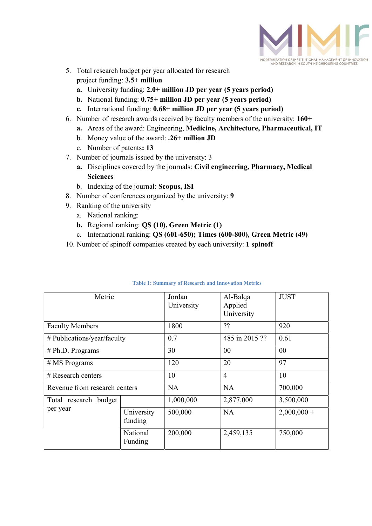

- 5. Total research budget per year allocated for research project funding: 3.5+ million
	- a. University funding: 2.0+ million JD per year (5 years period)
	- b. National funding: 0.75+ million JD per year (5 years period)
	- c. International funding: 0.68+ million JD per year (5 years period)
- 6. Number of research awards received by faculty members of the university: 160+
	- a. Areas of the award: Engineering, Medicine, Architecture, Pharmaceutical, IT
	- b. Money value of the award: .26+ million JD
	- c. Number of patents: 13
- 7. Number of journals issued by the university: 3
	- a. Disciplines covered by the journals: Civil engineering, Pharmacy, Medical Sciences
	- b. Indexing of the journal: Scopus, ISI
- 8. Number of conferences organized by the university: 9
- 9. Ranking of the university
	- a. National ranking:
	- b. Regional ranking: QS (10), Green Metric (1)
	- c. International ranking: QS (601-650); Times (600-800), Green Metric (49)
- 10. Number of spinoff companies created by each university: 1 spinoff

| Metric                            |                       | Jordan<br>University | Al-Balqa<br>Applied<br>University | <b>JUST</b>  |
|-----------------------------------|-----------------------|----------------------|-----------------------------------|--------------|
| <b>Faculty Members</b>            |                       | 1800                 | ??                                | 920          |
| # Publications/year/faculty       |                       | 0.7                  | 485 in 2015 ??                    | 0.61         |
| # Ph.D. Programs                  |                       | 30                   | $00\,$                            | 00           |
| $# MS$ Programs                   |                       | 120                  | 20                                | 97           |
| $#$ Research centers              |                       | 10                   | $\overline{4}$                    | 10           |
| Revenue from research centers     |                       | <b>NA</b>            | <b>NA</b>                         | 700,000      |
| Total research budget<br>per year |                       | 1,000,000            | 2,877,000                         | 3,500,000    |
|                                   | University<br>funding | 500,000              | <b>NA</b>                         | $2,000,000+$ |
|                                   | National<br>Funding   | 200,000              | 2,459,135                         | 750,000      |

#### Table 1: Summary of Research and Innovation Metrics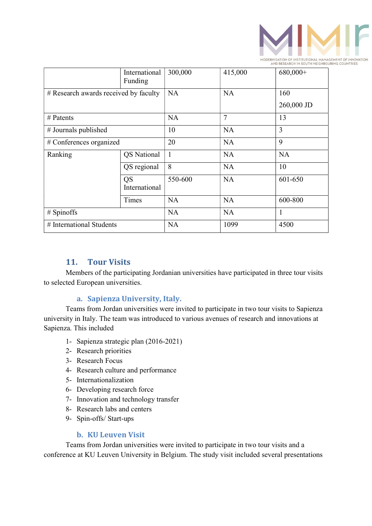

|                                       | International<br>Funding | 300,000      | 415,000        | 680,000+   |
|---------------------------------------|--------------------------|--------------|----------------|------------|
| # Research awards received by faculty |                          | <b>NA</b>    | <b>NA</b>      | 160        |
|                                       |                          |              |                | 260,000 JD |
| # Patents                             |                          | <b>NA</b>    | $\overline{7}$ | 13         |
| # Journals published                  |                          | 10           | <b>NA</b>      | 3          |
| # Conferences organized               |                          | 20           | <b>NA</b>      | 9          |
| Ranking                               | <b>QS</b> National       | $\mathbf{1}$ | <b>NA</b>      | <b>NA</b>  |
|                                       | QS regional              | 8            | <b>NA</b>      | 10         |
|                                       | QS<br>International      | 550-600      | <b>NA</b>      | 601-650    |
|                                       | Times                    | <b>NA</b>    | <b>NA</b>      | 600-800    |
| # Spinoffs                            |                          | <b>NA</b>    | <b>NA</b>      | 1          |
| # International Students              |                          | <b>NA</b>    | 1099           | 4500       |

### 11. Tour Visits

Members of the participating Jordanian universities have participated in three tour visits to selected European universities.

#### a. Sapienza University, Italy.

Teams from Jordan universities were invited to participate in two tour visits to Sapienza university in Italy. The team was introduced to various avenues of research and innovations at Sapienza. This included

- 1- Sapienza strategic plan (2016-2021)
- 2- Research priorities
- 3- Research Focus
- 4- Research culture and performance
- 5- Internationalization
- 6- Developing research force
- 7- Innovation and technology transfer
- 8- Research labs and centers
- 9- Spin-offs/ Start-ups

#### b. KU Leuven Visit

Teams from Jordan universities were invited to participate in two tour visits and a conference at KU Leuven University in Belgium. The study visit included several presentations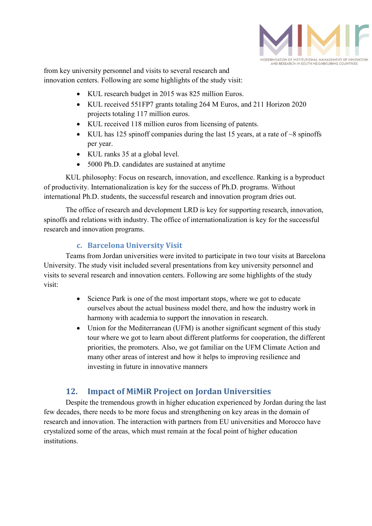

from key university personnel and visits to several research and innovation centers. Following are some highlights of the study visit:

- KUL research budget in 2015 was 825 million Euros.
- KUL received 551FP7 grants totaling 264 M Euros, and 211 Horizon 2020 projects totaling 117 million euros.
- KUL received 118 million euros from licensing of patents.
- KUL has 125 spinoff companies during the last 15 years, at a rate of  $\sim$ 8 spinoffs per year.
- KUL ranks 35 at a global level.
- 5000 Ph.D. candidates are sustained at anytime

KUL philosophy: Focus on research, innovation, and excellence. Ranking is a byproduct of productivity. Internationalization is key for the success of Ph.D. programs. Without international Ph.D. students, the successful research and innovation program dries out.

The office of research and development LRD is key for supporting research, innovation, spinoffs and relations with industry. The office of internationalization is key for the successful research and innovation programs.

## c. Barcelona University Visit

Teams from Jordan universities were invited to participate in two tour visits at Barcelona University. The study visit included several presentations from key university personnel and visits to several research and innovation centers. Following are some highlights of the study visit:

- Science Park is one of the most important stops, where we got to educate ourselves about the actual business model there, and how the industry work in harmony with academia to support the innovation in research.
- Union for the Mediterranean (UFM) is another significant segment of this study tour where we got to learn about different platforms for cooperation, the different priorities, the promoters. Also, we got familiar on the UFM Climate Action and many other areas of interest and how it helps to improving resilience and investing in future in innovative manners

# 12. Impact of MiMiR Project on Jordan Universities

Despite the tremendous growth in higher education experienced by Jordan during the last few decades, there needs to be more focus and strengthening on key areas in the domain of research and innovation. The interaction with partners from EU universities and Morocco have crystalized some of the areas, which must remain at the focal point of higher education institutions.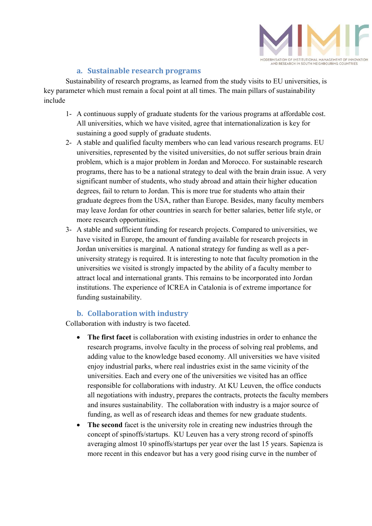

### a. Sustainable research programs

Sustainability of research programs, as learned from the study visits to EU universities, is key parameter which must remain a focal point at all times. The main pillars of sustainability include

- 1- A continuous supply of graduate students for the various programs at affordable cost. All universities, which we have visited, agree that internationalization is key for sustaining a good supply of graduate students.
- 2- A stable and qualified faculty members who can lead various research programs. EU universities, represented by the visited universities, do not suffer serious brain drain problem, which is a major problem in Jordan and Morocco. For sustainable research programs, there has to be a national strategy to deal with the brain drain issue. A very significant number of students, who study abroad and attain their higher education degrees, fail to return to Jordan. This is more true for students who attain their graduate degrees from the USA, rather than Europe. Besides, many faculty members may leave Jordan for other countries in search for better salaries, better life style, or more research opportunities.
- 3- A stable and sufficient funding for research projects. Compared to universities, we have visited in Europe, the amount of funding available for research projects in Jordan universities is marginal. A national strategy for funding as well as a peruniversity strategy is required. It is interesting to note that faculty promotion in the universities we visited is strongly impacted by the ability of a faculty member to attract local and international grants. This remains to be incorporated into Jordan institutions. The experience of ICREA in Catalonia is of extreme importance for funding sustainability.

## b. Collaboration with industry

Collaboration with industry is two faceted.

- The first facet is collaboration with existing industries in order to enhance the research programs, involve faculty in the process of solving real problems, and adding value to the knowledge based economy. All universities we have visited enjoy industrial parks, where real industries exist in the same vicinity of the universities. Each and every one of the universities we visited has an office responsible for collaborations with industry. At KU Leuven, the office conducts all negotiations with industry, prepares the contracts, protects the faculty members and insures sustainability. The collaboration with industry is a major source of funding, as well as of research ideas and themes for new graduate students.
- The second facet is the university role in creating new industries through the concept of spinoffs/startups. KU Leuven has a very strong record of spinoffs averaging almost 10 spinoffs/startups per year over the last 15 years. Sapienza is more recent in this endeavor but has a very good rising curve in the number of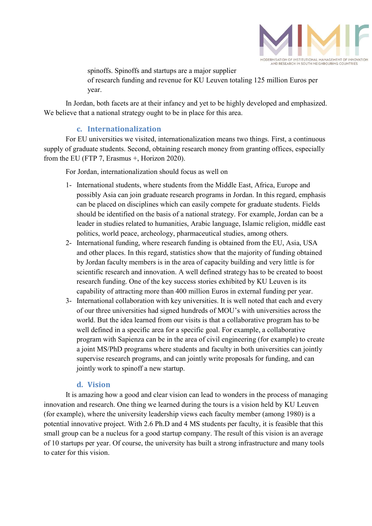

spinoffs. Spinoffs and startups are a major supplier

of research funding and revenue for KU Leuven totaling 125 million Euros per year.

In Jordan, both facets are at their infancy and yet to be highly developed and emphasized. We believe that a national strategy ought to be in place for this area.

#### c. Internationalization

For EU universities we visited, internationalization means two things. First, a continuous supply of graduate students. Second, obtaining research money from granting offices, especially from the EU (FTP 7, Erasmus +, Horizon 2020).

For Jordan, internationalization should focus as well on

- 1- International students, where students from the Middle East, Africa, Europe and possibly Asia can join graduate research programs in Jordan. In this regard, emphasis can be placed on disciplines which can easily compete for graduate students. Fields should be identified on the basis of a national strategy. For example, Jordan can be a leader in studies related to humanities, Arabic language, Islamic religion, middle east politics, world peace, archeology, pharmaceutical studies, among others.
- 2- International funding, where research funding is obtained from the EU, Asia, USA and other places. In this regard, statistics show that the majority of funding obtained by Jordan faculty members is in the area of capacity building and very little is for scientific research and innovation. A well defined strategy has to be created to boost research funding. One of the key success stories exhibited by KU Leuven is its capability of attracting more than 400 million Euros in external funding per year.
- 3- International collaboration with key universities. It is well noted that each and every of our three universities had signed hundreds of MOU's with universities across the world. But the idea learned from our visits is that a collaborative program has to be well defined in a specific area for a specific goal. For example, a collaborative program with Sapienza can be in the area of civil engineering (for example) to create a joint MS/PhD programs where students and faculty in both universities can jointly supervise research programs, and can jointly write proposals for funding, and can jointly work to spinoff a new startup.

#### d. Vision

It is amazing how a good and clear vision can lead to wonders in the process of managing innovation and research. One thing we learned during the tours is a vision held by KU Leuven (for example), where the university leadership views each faculty member (among 1980) is a potential innovative project. With 2.6 Ph.D and 4 MS students per faculty, it is feasible that this small group can be a nucleus for a good startup company. The result of this vision is an average of 10 startups per year. Of course, the university has built a strong infrastructure and many tools to cater for this vision.